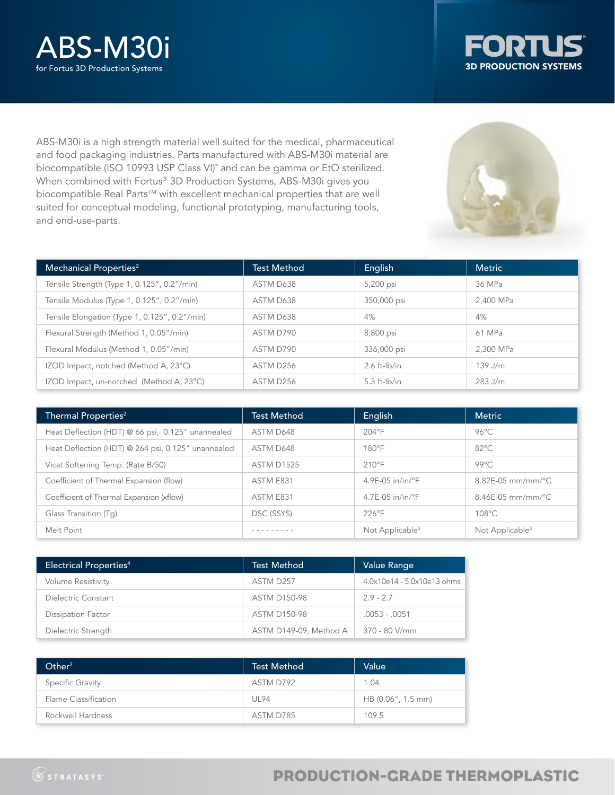



ABS-M30i is a high strength material well suited for the medical, pharmaceutical and food packaging industries. Parts manufactured with ABS-M30i material are biocompatible (ISO 10993 USP Class VI)\* and can be gamma or EtO sterilized. When combined with Fortus® 3D Production Systems, ABS-M30i gives you biocompatible Real Parts™ with excellent mechanical properties that are well suited for conceptual modeling, functional prototyping, manufacturing tools, and end-use-parts.

| Mechanical Properties <sup>2</sup>            | <b>Test Method</b> | English           | <b>Metric</b> |
|-----------------------------------------------|--------------------|-------------------|---------------|
| Tensile Strength (Type 1, 0.125", 0.2"/min)   | ASTM D638          | 5,200 psi         | 36 MPa        |
| Tensile Modulus (Type 1, 0.125", 0.2"/min)    | ASTM D638          | 350,000 psi       | 2.400 MPa     |
| Tensile Elongation (Type 1, 0.125", 0.2"/min) | ASTM D638          | 4%                | 4%            |
| Flexural Strength (Method 1, 0.05"/min)       | ASTM D790          | 8,800 psi         | 61 MPa        |
| Flexural Modulus (Method 1, 0.05"/min)        | ASTM D790          | 336,000 psi       | 2.300 MPa     |
| IZOD Impact, notched (Method A, 23°C)         | ASTM D256          | $2.6$ ft- $lb/in$ | $139$ J/m     |
| IZOD Impact, un-notched (Method A, 23°C)      | ASTM D256          | $5.3$ ft- $lb/in$ | 283 J/m       |

| Thermal Properties <sup>2</sup>                    | <b>Test Method</b> | English                      | <b>Metric</b>               |
|----------------------------------------------------|--------------------|------------------------------|-----------------------------|
| Heat Deflection (HDT) @ 66 psi, 0.125" unannealed  | ASTM D648          | $204^{\circ}F$               | $96^{\circ}$ C              |
| Heat Deflection (HDT) @ 264 psi, 0.125" unannealed | ASTM D648          | $180^{\circ}$ F              | $82^{\circ}$ C              |
| Vicat Softening Temp. (Rate B/50)                  | <b>ASTM D1525</b>  | $210^{\circ}$ F              | $99^{\circ}$ C              |
| Coefficient of Thermal Expansion (flow)            | ASTM E831          | 4.9E-05 in/in/°F             | 8.82E-05 mm/mm/°C           |
| Coefficient of Thermal Expansion (xflow)           | ASTM E831          | $4.7E-05$ in/in/ $\degree$ F | $8.46E-05$ mm/mm/°C         |
| Glass Transition (Tq)                              | DSC (SSYS)         | 226°F                        | $108^{\circ}$ C             |
| Melt Point                                         |                    | Not Applicable <sup>3</sup>  | Not Applicable <sup>3</sup> |

| <b>Electrical Properties4</b> | <b>Test Method</b>     | Value Range                |
|-------------------------------|------------------------|----------------------------|
| <b>Volume Resistivity</b>     | ASTM D257              | 4.0x10e14 - 5.0x10e13 ohms |
| Dielectric Constant           | <b>ASTM D150-98</b>    | $29 - 27$                  |
| <b>Dissipation Factor</b>     | <b>ASTM D150-98</b>    | $.0053 - .0051$            |
| Dielectric Strength           | ASTM D149-09, Method A | 370 - 80 V/mm              |

| Other <sup>2</sup>   | <b>Test Method</b> | Value              |
|----------------------|--------------------|--------------------|
| Specific Gravity     | ASTM D792          | 1.04               |
| Flame Classification | UL94               | HB (0.06", 1.5 mm) |
| Rockwell Hardness    | ASTM D785          | 109.5              |